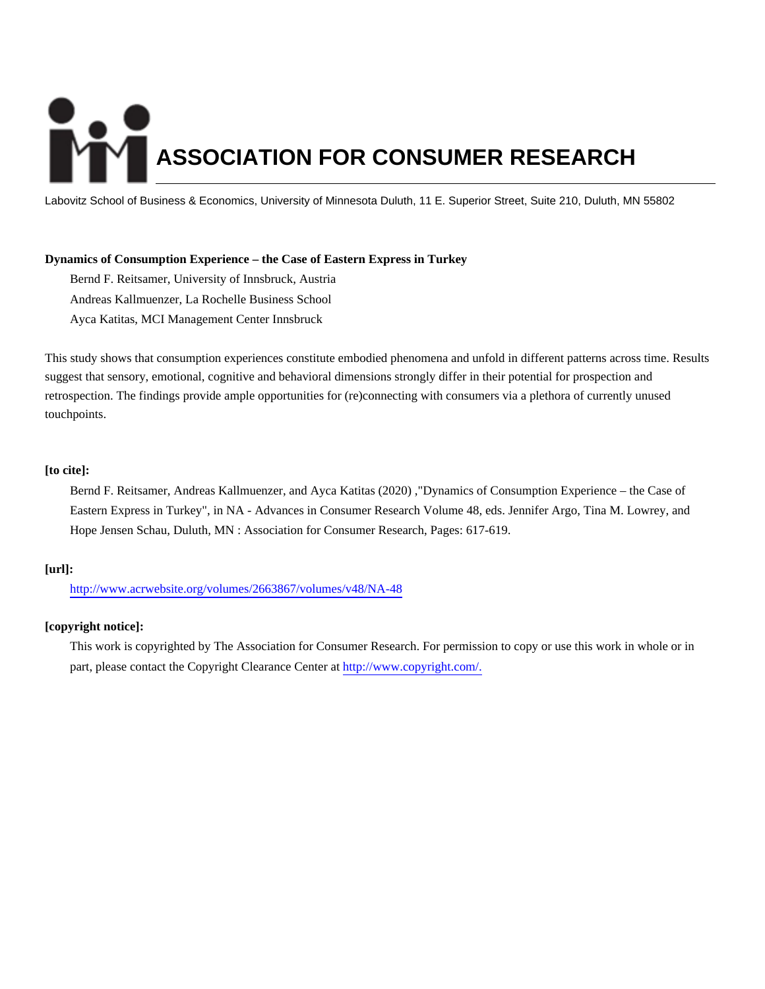# **ASSOCIATION FOR CONSUMER RESEARCH**

Labovitz School of Business & Economics, University of Minnesota Duluth, 11 E. Superior Street, Suite 210, Duluth, MN 55802

# **Dynamics of Consumption Experience – the Case of Eastern Express in Turkey**

Bernd F. Reitsamer, University of Innsbruck, Austria Andreas Kallmuenzer, La Rochelle Business School

Ayca Katitas, MCI Management Center Innsbruck

This study shows that consumption experiences constitute embodied phenomena and unfold in different patterns across time. Results suggest that sensory, emotional, cognitive and behavioral dimensions strongly differ in their potential for prospection and retrospection. The findings provide ample opportunities for (re)connecting with consumers via a plethora of currently unused touchpoints.

## **[to cite]:**

Bernd F. Reitsamer, Andreas Kallmuenzer, and Ayca Katitas (2020) ,"Dynamics of Consumption Experience – the Case of Eastern Express in Turkey", in NA - Advances in Consumer Research Volume 48, eds. Jennifer Argo, Tina M. Lowrey, and Hope Jensen Schau, Duluth, MN : Association for Consumer Research, Pages: 617-619.

## **[url]:**

<http://www.acrwebsite.org/volumes/2663867/volumes/v48/NA-48>

## **[copyright notice]:**

This work is copyrighted by The Association for Consumer Research. For permission to copy or use this work in whole or in part, please contact the Copyright Clearance Center at [http://www.copyright.com/.](http://www.copyright.com/)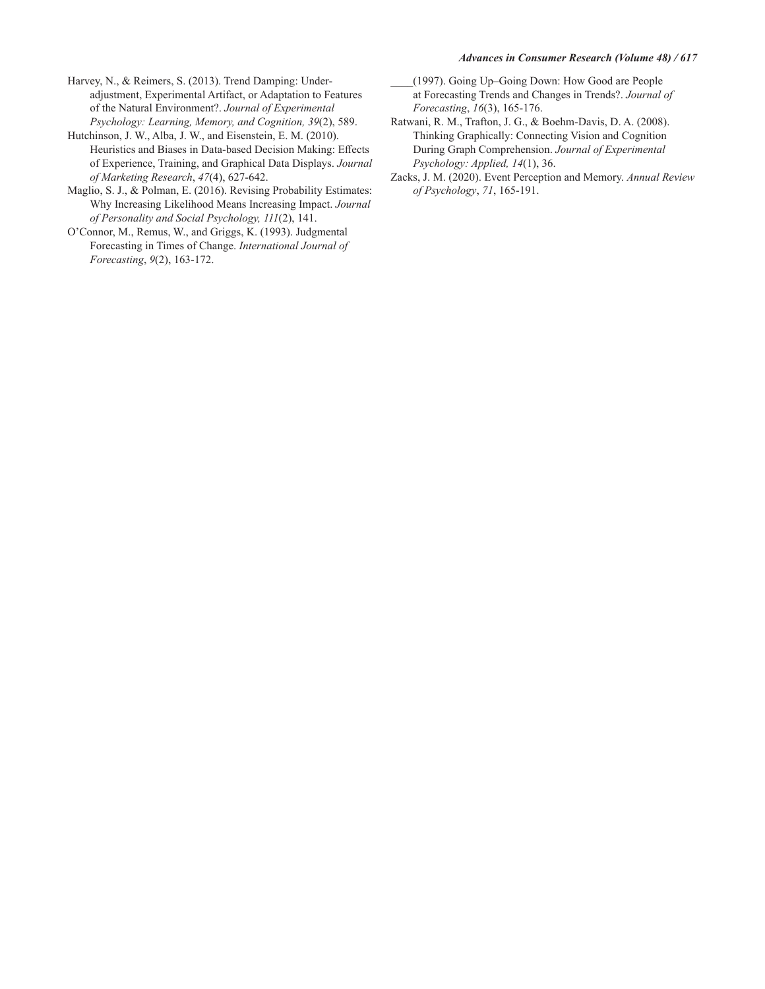### **Advances in Consumer Research (Volume 48) / 617**

- Harvey, N., & Reimers, S. (2013). Trend Damping: Underadjustment, Experimental Artifact, or Adaptation to Features of the Natural Environment?. Journal of Experimental Psychology: Learning, Memory, and Cognition, 39(2), 589.
- Hutchinson, J. W., Alba, J. W., and Eisenstein, E. M. (2010). Heuristics and Biases in Data-based Decision Making: Effects of Experience, Training, and Graphical Data Displays. Journal of Marketing Research, 47(4), 627-642.
- Maglio, S. J., & Polman, E. (2016). Revising Probability Estimates: Why Increasing Likelihood Means Increasing Impact. Journal of Personality and Social Psychology, 111(2), 141.
- O'Connor, M., Remus, W., and Griggs, K. (1993). Judgmental Forecasting in Times of Change. International Journal of Forecasting, 9(2), 163-172.
- (1997). Going Up-Going Down: How Good are People at Forecasting Trends and Changes in Trends?. Journal of Forecasting, 16(3), 165-176.
- Ratwani, R. M., Trafton, J. G., & Boehm-Davis, D. A. (2008). Thinking Graphically: Connecting Vision and Cognition During Graph Comprehension. Journal of Experimental Psychology: Applied, 14(1), 36.
- Zacks, J. M. (2020). Event Perception and Memory. Annual Review of Psychology, 71, 165-191.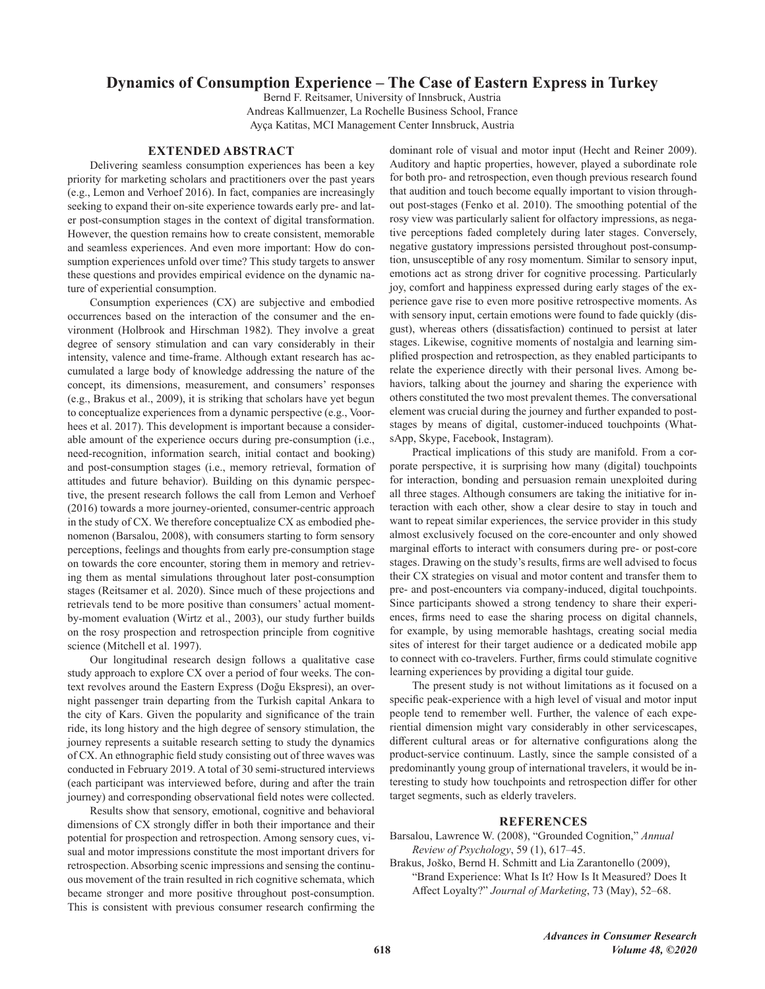# **Dynamics of Consumption Experience – The Case of Eastern Express in Turkey**

Bernd F. Reitsamer, University of Innsbruck, Austria Andreas Kallmuenzer, La Rochelle Business School, France Ayça Katitas, MCI Management Center Innsbruck, Austria

### **EXTENDED ABSTRACT**

Delivering seamless consumption experiences has been a key priority for marketing scholars and practitioners over the past years (e.g., Lemon and Verhoef 2016). In fact, companies are increasingly seeking to expand their on-site experience towards early pre- and later post-consumption stages in the context of digital transformation. However, the question remains how to create consistent, memorable and seamless experiences. And even more important: How do consumption experiences unfold over time? This study targets to answer these questions and provides empirical evidence on the dynamic nature of experiential consumption.

Consumption experiences (CX) are subjective and embodied occurrences based on the interaction of the consumer and the environment (Holbrook and Hirschman 1982). They involve a great degree of sensory stimulation and can vary considerably in their intensity, valence and time-frame. Although extant research has accumulated a large body of knowledge addressing the nature of the concept, its dimensions, measurement, and consumers' responses (e.g., Brakus et al., 2009), it is striking that scholars have yet begun to conceptualize experiences from a dynamic perspective (e.g., Voorhees et al. 2017). This development is important because a considerable amount of the experience occurs during pre-consumption (i.e., need-recognition, information search, initial contact and booking) and post-consumption stages (i.e., memory retrieval, formation of attitudes and future behavior). Building on this dynamic perspective, the present research follows the call from Lemon and Verhoef (2016) towards a more journey-oriented, consumer-centric approach in the study of CX. We therefore conceptualize CX as embodied phenomenon (Barsalou, 2008), with consumers starting to form sensory perceptions, feelings and thoughts from early pre-consumption stage on towards the core encounter, storing them in memory and retrieving them as mental simulations throughout later post-consumption stages (Reitsamer et al. 2020). Since much of these projections and retrievals tend to be more positive than consumers' actual momentby-moment evaluation (Wirtz et al., 2003), our study further builds on the rosy prospection and retrospection principle from cognitive science (Mitchell et al. 1997).

Our longitudinal research design follows a qualitative case study approach to explore CX over a period of four weeks. The context revolves around the Eastern Express (Doğu Ekspresi), an overnight passenger train departing from the Turkish capital Ankara to the city of Kars. Given the popularity and significance of the train ride, its long history and the high degree of sensory stimulation, the journey represents a suitable research setting to study the dynamics of CX. An ethnographic field study consisting out of three waves was conducted in February 2019. A total of 30 semi-structured interviews (each participant was interviewed before, during and after the train journey) and corresponding observational field notes were collected.

Results show that sensory, emotional, cognitive and behavioral dimensions of CX strongly differ in both their importance and their potential for prospection and retrospection. Among sensory cues, visual and motor impressions constitute the most important drivers for retrospection. Absorbing scenic impressions and sensing the continuous movement of the train resulted in rich cognitive schemata, which became stronger and more positive throughout post-consumption. This is consistent with previous consumer research confirming the

dominant role of visual and motor input (Hecht and Reiner 2009). Auditory and haptic properties, however, played a subordinate role for both pro- and retrospection, even though previous research found that audition and touch become equally important to vision throughout post-stages (Fenko et al. 2010). The smoothing potential of the rosy view was particularly salient for olfactory impressions, as negative perceptions faded completely during later stages. Conversely, negative gustatory impressions persisted throughout post-consumption, unsusceptible of any rosy momentum. Similar to sensory input, emotions act as strong driver for cognitive processing. Particularly joy, comfort and happiness expressed during early stages of the experience gave rise to even more positive retrospective moments. As with sensory input, certain emotions were found to fade quickly (disgust), whereas others (dissatisfaction) continued to persist at later stages. Likewise, cognitive moments of nostalgia and learning simplified prospection and retrospection, as they enabled participants to relate the experience directly with their personal lives. Among behaviors, talking about the journey and sharing the experience with others constituted the two most prevalent themes. The conversational element was crucial during the journey and further expanded to poststages by means of digital, customer-induced touchpoints (WhatsApp, Skype, Facebook, Instagram).

Practical implications of this study are manifold. From a corporate perspective, it is surprising how many (digital) touchpoints for interaction, bonding and persuasion remain unexploited during all three stages. Although consumers are taking the initiative for interaction with each other, show a clear desire to stay in touch and want to repeat similar experiences, the service provider in this study almost exclusively focused on the core-encounter and only showed marginal efforts to interact with consumers during pre- or post-core stages. Drawing on the study's results, firms are well advised to focus their CX strategies on visual and motor content and transfer them to pre- and post-encounters via company-induced, digital touchpoints. Since participants showed a strong tendency to share their experiences, firms need to ease the sharing process on digital channels, for example, by using memorable hashtags, creating social media sites of interest for their target audience or a dedicated mobile app to connect with co-travelers. Further, firms could stimulate cognitive learning experiences by providing a digital tour guide.

The present study is not without limitations as it focused on a specific peak-experience with a high level of visual and motor input people tend to remember well. Further, the valence of each experiential dimension might vary considerably in other servicescapes, different cultural areas or for alternative configurations along the product-service continuum. Lastly, since the sample consisted of a predominantly young group of international travelers, it would be interesting to study how touchpoints and retrospection differ for other target segments, such as elderly travelers.

### **REFERENCES**

- Barsalou, Lawrence W. (2008), "Grounded Cognition," Annual Review of Psychology, 59 (1), 617-45.
- Brakus, Joško, Bernd H. Schmitt and Lia Zarantonello (2009), "Brand Experience: What Is It? How Is It Measured? Does It Affect Loyalty?" Journal of Marketing, 73 (May), 52-68.